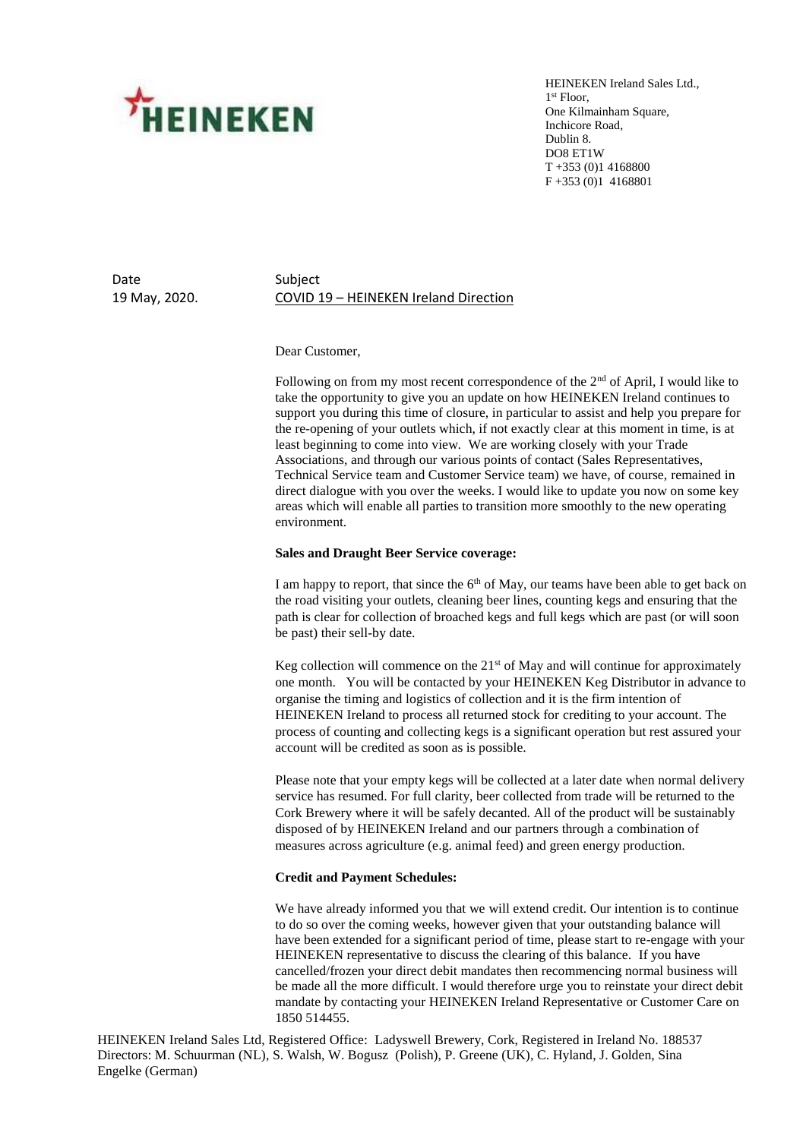

HEINEKEN Ireland Sales Ltd., 1 st Floor, One Kilmainham Square, Inchicore Road, Dublin 8. DO8 ET1W T +353 (0)1 4168800 F +353 (0)1 4168801

Date Subject

# 19 May, 2020. COVID 19 – HEINEKEN Ireland Direction

### Dear Customer,

Following on from my most recent correspondence of the  $2<sup>nd</sup>$  of April, I would like to take the opportunity to give you an update on how HEINEKEN Ireland continues to support you during this time of closure, in particular to assist and help you prepare for the re-opening of your outlets which, if not exactly clear at this moment in time, is at least beginning to come into view. We are working closely with your Trade Associations, and through our various points of contact (Sales Representatives, Technical Service team and Customer Service team) we have, of course, remained in direct dialogue with you over the weeks. I would like to update you now on some key areas which will enable all parties to transition more smoothly to the new operating environment.

### **Sales and Draught Beer Service coverage:**

I am happy to report, that since the  $6<sup>th</sup>$  of May, our teams have been able to get back on the road visiting your outlets, cleaning beer lines, counting kegs and ensuring that the path is clear for collection of broached kegs and full kegs which are past (or will soon be past) their sell-by date.

Keg collection will commence on the  $21<sup>st</sup>$  of May and will continue for approximately one month. You will be contacted by your HEINEKEN Keg Distributor in advance to organise the timing and logistics of collection and it is the firm intention of HEINEKEN Ireland to process all returned stock for crediting to your account. The process of counting and collecting kegs is a significant operation but rest assured your account will be credited as soon as is possible.

Please note that your empty kegs will be collected at a later date when normal delivery service has resumed. For full clarity, beer collected from trade will be returned to the Cork Brewery where it will be safely decanted. All of the product will be sustainably disposed of by HEINEKEN Ireland and our partners through a combination of measures across agriculture (e.g. animal feed) and green energy production.

## **Credit and Payment Schedules:**

We have already informed you that we will extend credit. Our intention is to continue to do so over the coming weeks, however given that your outstanding balance will have been extended for a significant period of time, please start to re-engage with your HEINEKEN representative to discuss the clearing of this balance. If you have cancelled/frozen your direct debit mandates then recommencing normal business will be made all the more difficult. I would therefore urge you to reinstate your direct debit mandate by contacting your HEINEKEN Ireland Representative or Customer Care on 1850 514455.

HEINEKEN Ireland Sales Ltd, Registered Office: Ladyswell Brewery, Cork, Registered in Ireland No. 188537 Directors: M. Schuurman (NL), S. Walsh, W. Bogusz (Polish), P. Greene (UK), C. Hyland, J. Golden, Sina Engelke (German)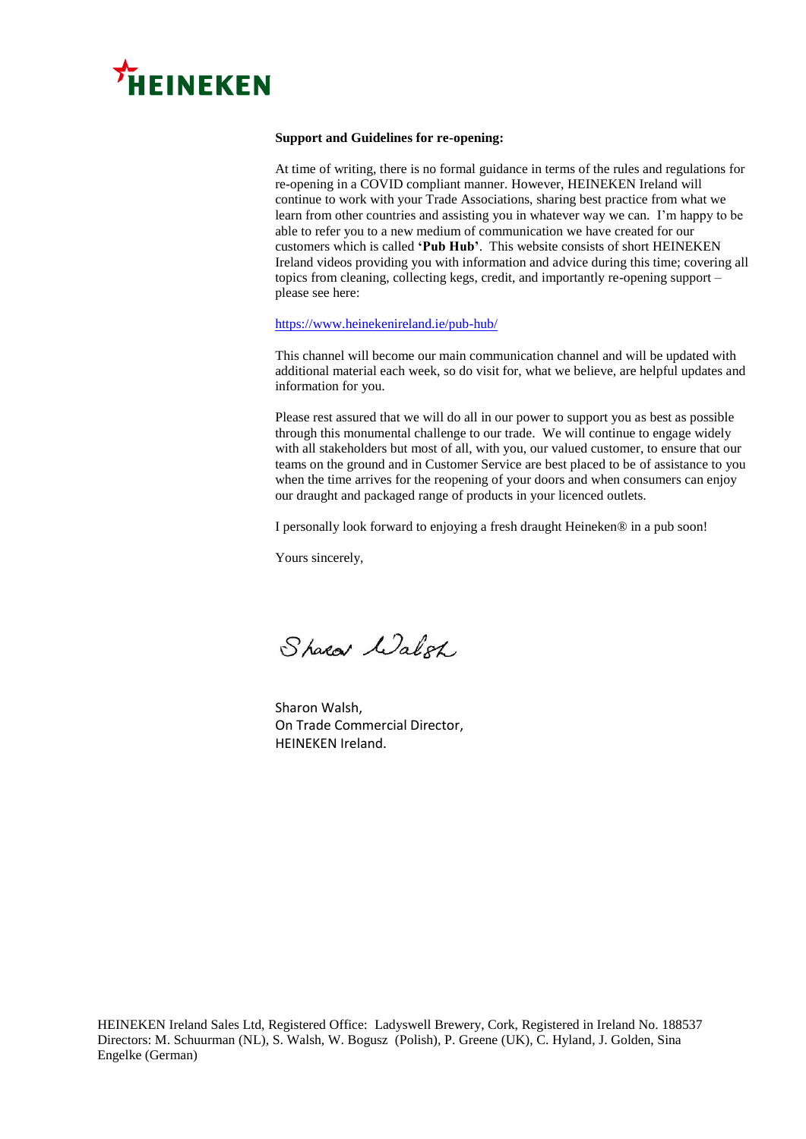

## **Support and Guidelines for re-opening:**

At time of writing, there is no formal guidance in terms of the rules and regulations for re-opening in a COVID compliant manner. However, HEINEKEN Ireland will continue to work with your Trade Associations, sharing best practice from what we learn from other countries and assisting you in whatever way we can. I'm happy to be able to refer you to a new medium of communication we have created for our customers which is called **'Pub Hub'**. This website consists of short HEINEKEN Ireland videos providing you with information and advice during this time; covering all topics from cleaning, collecting kegs, credit, and importantly re-opening support – please see here:

#### [https://www.heinekenireland.ie/pub-hub/](https://eur03.safelinks.protection.outlook.com/?url=https%3A%2F%2Fwww.heinekenireland.ie%2Fpub-hub%2F&data=02%7C01%7CConor.Dillon%40Heineken.ie%7Ca113988b557f46ab47bd08d7f847fcf6%7C66e853deece344dd9d66ee6bdf4159d4%7C0%7C0%7C637250860372992249&sdata=UY7rpShfQJrF0d%2Bacm8wNu%2BRQmvHIG0ETMrtsRuGlGs%3D&reserved=0)

This channel will become our main communication channel and will be updated with additional material each week, so do visit for, what we believe, are helpful updates and information for you.

Please rest assured that we will do all in our power to support you as best as possible through this monumental challenge to our trade. We will continue to engage widely with all stakeholders but most of all, with you, our valued customer, to ensure that our teams on the ground and in Customer Service are best placed to be of assistance to you when the time arrives for the reopening of your doors and when consumers can enjoy our draught and packaged range of products in your licenced outlets.

I personally look forward to enjoying a fresh draught Heineken® in a pub soon!

Yours sincerely,

Sharar Walsh

Sharon Walsh, On Trade Commercial Director, HEINEKEN Ireland.